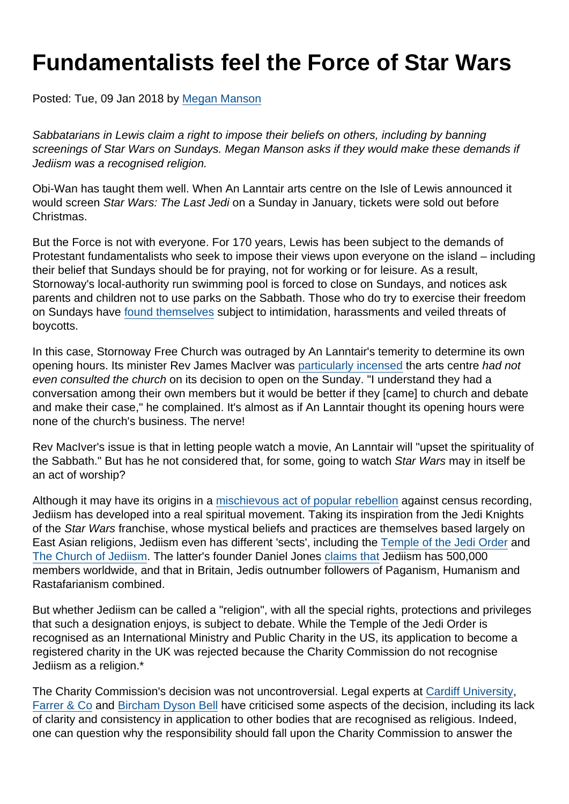## Fundamentalists feel the Force of Star Wars

Posted: Tue, 09 Jan 2018 by [Megan Manson](https://www.secularism.org.uk/opinion/authors/971)

Sabbatarians in Lewis claim a right to impose their beliefs on others, including by banning screenings of Star Wars on Sundays. Megan Manson asks if they would make these demands if Jediism was a recognised religion.

Obi-Wan has taught them well. When An Lanntair arts centre on the Isle of Lewis announced it would screen Star Wars: The Last Jedi on a Sunday in January, tickets were sold out before Christmas.

But the Force is not with everyone. For 170 years, Lewis has been subject to the demands of Protestant fundamentalists who seek to impose their views upon everyone on the island – including their belief that Sundays should be for praying, not for working or for leisure. As a result, Stornoway's local-authority run swimming pool is forced to close on Sundays, and notices ask parents and children not to use parks on the Sabbath. Those who do try to exercise their freedom on Sundays have [found themselves](https://www.secularism.org.uk/opinion/2017/11/our-business-was-harassed-by-christian-fundamentalists--now-its-the-best-known-in-lewis) subject to intimidation, harassments and veiled threats of boycotts.

In this case, Stornoway Free Church was outraged by An Lanntair's temerity to determine its own opening hours. Its minister Rev James MacIver was [particularly incensed](https://www.thetimes.co.uk/article/lewis-islanders-strike-back-over-star-wars-sunday-cinema-pwprspcjx) the arts centre had not even consulted the church on its decision to open on the Sunday. "I understand they had a conversation among their own members but it would be better if they [came] to church and debate and make their case," he complained. It's almost as if An Lanntair thought its opening hours were none of the church's business. The nerve!

Rev MacIver's issue is that in letting people watch a movie, An Lanntair will "upset the spirituality of the Sabbath." But has he not considered that, for some, going to watch Star Wars may in itself be an act of worship?

Although it may have its origins in a [mischievous act of popular rebellion](https://en.wikipedia.org/wiki/Jedi_census_phenomenon) against census recording, Jediism has developed into a real spiritual movement. Taking its inspiration from the Jedi Knights of the Star Wars franchise, whose mystical beliefs and practices are themselves based largely on East Asian religions, Jediism even has different 'sects', including the [Temple of the Jedi Order](https://www.templeofthejediorder.org/) and [The Church of Jediism](https://www.becometheforce.com/). The latter's founder Daniel Jones [claims that](http://www.mirror.co.uk/3am/celebrity-news/star-wars-fan-recruits-500000-11706180) Jediism has 500,000 members worldwide, and that in Britain, Jedis outnumber followers of Paganism, Humanism and Rastafarianism combined.

But whether Jediism can be called a "religion", with all the special rights, protections and privileges that such a designation enjoys, is subject to debate. While the Temple of the Jedi Order is recognised as an International Ministry and Public Charity in the US, its application to become a registered charity in the UK was rejected because the Charity Commission do not recognise Jediism as a religion.\*

The Charity Commission's decision was not uncontroversial. Legal experts at [Cardiff University](http://www.lawandreligionuk.com/2016/12/22/the-farce-awakens-why-the-charity-commissions-decision-on-jediism-reveals-a-need-to-revisit-the-definition-of-religion/), [Farrer & Co](https://www.farrer.co.uk/news/briefings/charity-commission-decision-the-temple-of-the-jedi-order/) and [Bircham Dyson Bell](https://www.bdb-law.co.uk/blogs/charity-laws/11-arent-jedis-charitable-meaning-religion-charity-law/) have criticised some aspects of the decision, including its lack of clarity and consistency in application to other bodies that are recognised as religious. Indeed, one can question why the responsibility should fall upon the Charity Commission to answer the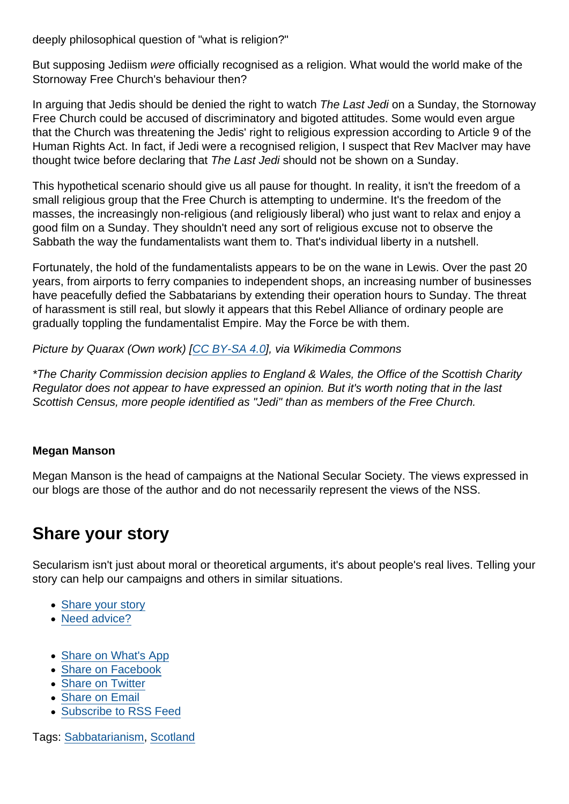deeply philosophical question of "what is religion?"

But supposing Jediism were officially recognised as a religion. What would the world make of the Stornoway Free Church's behaviour then?

In arguing that Jedis should be denied the right to watch The Last Jedi on a Sunday, the Stornoway Free Church could be accused of discriminatory and bigoted attitudes. Some would even argue that the Church was threatening the Jedis' right to religious expression according to Article 9 of the Human Rights Act. In fact, if Jedi were a recognised religion, I suspect that Rev MacIver may have thought twice before declaring that The Last Jedi should not be shown on a Sunday.

This hypothetical scenario should give us all pause for thought. In reality, it isn't the freedom of a small religious group that the Free Church is attempting to undermine. It's the freedom of the masses, the increasingly non-religious (and religiously liberal) who just want to relax and enjoy a good film on a Sunday. They shouldn't need any sort of religious excuse not to observe the Sabbath the way the fundamentalists want them to. That's individual liberty in a nutshell.

Fortunately, the hold of the fundamentalists appears to be on the wane in Lewis. Over the past 20 years, from airports to ferry companies to independent shops, an increasing number of businesses have peacefully defied the Sabbatarians by extending their operation hours to Sunday. The threat of harassment is still real, but slowly it appears that this Rebel Alliance of ordinary people are gradually toppling the fundamentalist Empire. May the Force be with them.

Picture by Quarax (Own work) [\[CC BY-SA 4.0](https://creativecommons.org/licenses/by-sa/4.0/legalcode)], via Wikimedia Commons

\*The Charity Commission decision applies to England & Wales, the Office of the Scottish Charity Regulator does not appear to have expressed an opinion. But it's worth noting that in the last Scottish Census, more people identified as "Jedi" than as members of the Free Church.

## Megan Manson

Megan Manson is the head of campaigns at the National Secular Society. The views expressed in our blogs are those of the author and do not necessarily represent the views of the NSS.

## Share your story

Secularism isn't just about moral or theoretical arguments, it's about people's real lives. Telling your story can help our campaigns and others in similar situations.

- [Share your story](https://www.secularism.org.uk/stories.html)
- [Need advice?](https://www.secularism.org.uk/advice.html)
- [Share on What's App](whatsapp://send?text=http://www.secularism.org.uk/opinion/2018/01/fundamentalists-feel-the-force-of-star-wars?format=pdf)
- [Share on Facebook](https://www.facebook.com/sharer/sharer.php?u=http://www.secularism.org.uk/opinion/2018/01/fundamentalists-feel-the-force-of-star-wars?format=pdf&t=Fundamentalists+feel+the+Force+of+Star+Wars)
- [Share on Twitter](https://twitter.com/intent/tweet?url=http://www.secularism.org.uk/opinion/2018/01/fundamentalists-feel-the-force-of-star-wars?format=pdf&text=Fundamentalists+feel+the+Force+of+Star+Wars&via=NatSecSoc)
- [Share on Email](https://www.secularism.org.uk/share.html?url=http://www.secularism.org.uk/opinion/2018/01/fundamentalists-feel-the-force-of-star-wars?format=pdf&title=Fundamentalists+feel+the+Force+of+Star+Wars)
- [Subscribe to RSS Feed](/mnt/web-data/www/cp-nss/feeds/rss/news)

Tags: [Sabbatarianism,](https://www.secularism.org.uk/opinion/tags/Sabbatarianism) [Scotland](https://www.secularism.org.uk/opinion/tags/Scotland)